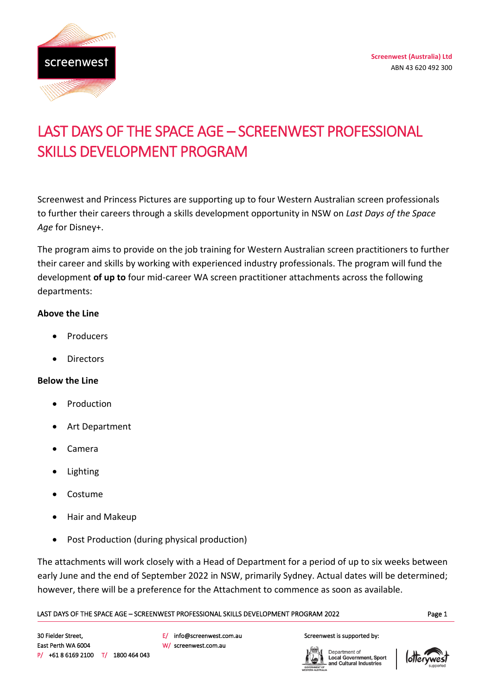

# LAST DAYS OF THE SPACE AGE – SCREENWEST PROFESSIONAL SKILLS DEVELOPMENT PROGRAM

Screenwest and Princess Pictures are supporting up to four Western Australian screen professionals to further their careers through a skills development opportunity in NSW on *Last Days of the Space Age* for Disney+.

The program aims to provide on the job training for Western Australian screen practitioners to further their career and skills by working with experienced industry professionals. The program will fund the development **of up to** four mid-career WA screen practitioner attachments across the following departments:

#### **Above the Line**

- **Producers**
- **Directors**

#### **Below the Line**

- **Production**
- Art Department
- Camera
- Lighting
- Costume
- Hair and Makeup
- Post Production (during physical production)

The attachments will work closely with a Head of Department for a period of up to six weeks between early June and the end of September 2022 in NSW, primarily Sydney. Actual dates will be determined; however, there will be a preference for the Attachment to commence as soon as available.

#### Page 1 LAST DAYS OF THE SPACE AGE – SCREENWEST PROFESSIONAL SKILLS DEVELOPMENT PROGRAM 2022

E/ info@screenwest.com.au W/ screenwest.com.au

#### Screenwest is supported by:

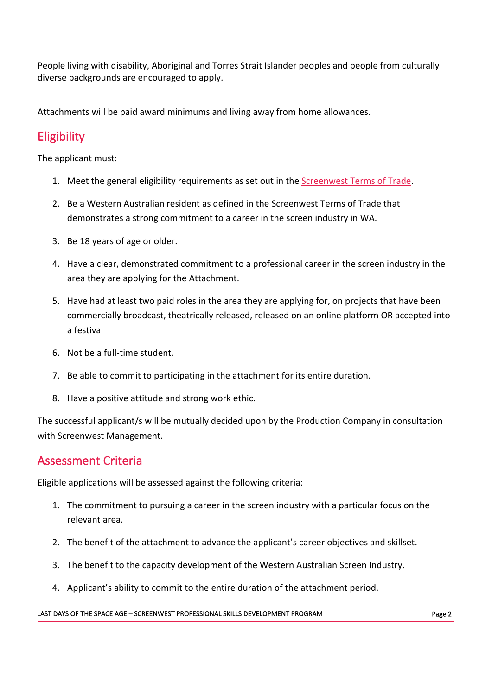People living with disability, Aboriginal and Torres Strait Islander peoples and people from culturally diverse backgrounds are encouraged to apply.

Attachments will be paid award minimums and living away from home allowances.

## Eligibility

The applicant must:

- 1. Meet the general eligibility requirements as set out in the [Screenwest Terms of Trade.](https://www.screenwest.com.au/about/publications/)
- 2. Be a Western Australian resident as defined in the Screenwest Terms of Trade that demonstrates a strong commitment to a career in the screen industry in WA.
- 3. Be 18 years of age or older.
- 4. Have a clear, demonstrated commitment to a professional career in the screen industry in the area they are applying for the Attachment.
- 5. Have had at least two paid roles in the area they are applying for, on projects that have been commercially broadcast, theatrically released, released on an online platform OR accepted into a festival
- 6. Not be a full-time student.
- 7. Be able to commit to participating in the attachment for its entire duration.
- 8. Have a positive attitude and strong work ethic.

The successful applicant/s will be mutually decided upon by the Production Company in consultation with Screenwest Management.

## Assessment Criteria

Eligible applications will be assessed against the following criteria:

- 1. The commitment to pursuing a career in the screen industry with a particular focus on the relevant area.
- 2. The benefit of the attachment to advance the applicant's career objectives and skillset.
- 3. The benefit to the capacity development of the Western Australian Screen Industry.
- 4. Applicant's ability to commit to the entire duration of the attachment period.

#### LAST DAYS OF THE SPACE AGE – SCREENWEST PROFESSIONAL SKILLS DEVELOPMENT PROGRAM PAGE 2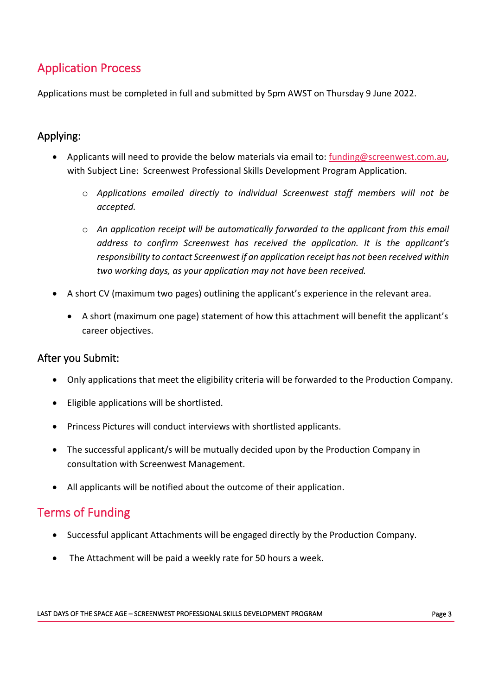## Application Process

Applications must be completed in full and submitted by 5pm AWST on Thursday 9 June 2022.

### Applying:

- Applicants will need to provide the below materials via email to: [funding@screenwest.com.au,](mailto:funding@screenwest.com.au) with Subject Line: Screenwest Professional Skills Development Program Application.
	- o *Applications emailed directly to individual Screenwest staff members will not be accepted.*
	- o *An application receipt will be automatically forwarded to the applicant from this email address to confirm Screenwest has received the application. It is the applicant's responsibility to contact Screenwest if an application receipt has not been received within two working days, as your application may not have been received.*
- A short CV (maximum two pages) outlining the applicant's experience in the relevant area.
	- A short (maximum one page) statement of how this attachment will benefit the applicant's career objectives.

### After you Submit:

- Only applications that meet the eligibility criteria will be forwarded to the Production Company.
- Eligible applications will be shortlisted.
- Princess Pictures will conduct interviews with shortlisted applicants.
- The successful applicant/s will be mutually decided upon by the Production Company in consultation with Screenwest Management.
- All applicants will be notified about the outcome of their application.

## Terms of Funding

- Successful applicant Attachments will be engaged directly by the Production Company.
- The Attachment will be paid a weekly rate for 50 hours a week.